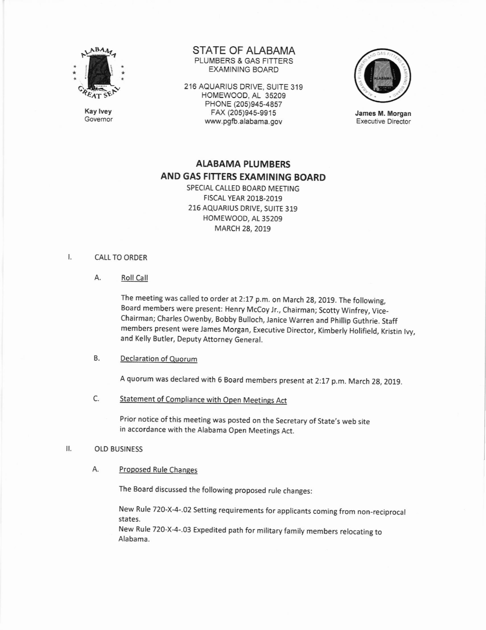

Kay lvey Govemor STATE OF ALABAMA PLUMBERS & GAS FITTERS EXAMINING BOARD

216 AQUARIUS DRIVE, SUITE 319 HOMEWOOD, AL 35209 PHONE (205)945-4857 FAX (205)945-9915 www.pgb.alabama.gov



James M. Morgan Executive Director

# ALABAMA PLUMBERS AND GAS FITTERS EXAMINING BOARD

SPECIAL CALLED BOARD MEETING FtscAL YEAR 2018-2019 216 AQUARIUS DRIVE, SUITE 319 HOMEWOOD, AL 35209 MARCH 28, 2019

#### Ι. **CALL TO ORDER**

A. Roll Call

The meeting was called to order at 2:17 p.m. on March 28, 2019. The following, Board members were present: Henry Mccoy Jr., Chairman; Scotty Winfrey, Vice-Chairman; Charles Owenby, Bobby Bulloch, Janice Warren and phillip Guthrie. Staff members present were James Morgan, Executive Director, Kimberly Holifield, Kristin lvy, and Kelly Butler, Deputy Attorney General.

## B. Declaration of Ouorum

<sup>A</sup>quorum was declared with 6 Board members present at 2:17 p.m. March 28, 2019.

C. Statement of Compliance with Open Meetings Act

Prior notice of this meeting was posted on the Secretary of State's web site in accordance with the Alabama Open Meetings Act.

### II. OLD BUSINESS

A. Proposed Rule Changes

The Board discussed the following proposed rule changes:

New Rule 720-X-4-.02 Setting requirements for applicants coming from non-reciprocal states.

New Rule 720-X-4-.03 Expedited path for military family members relocating to Alabama.